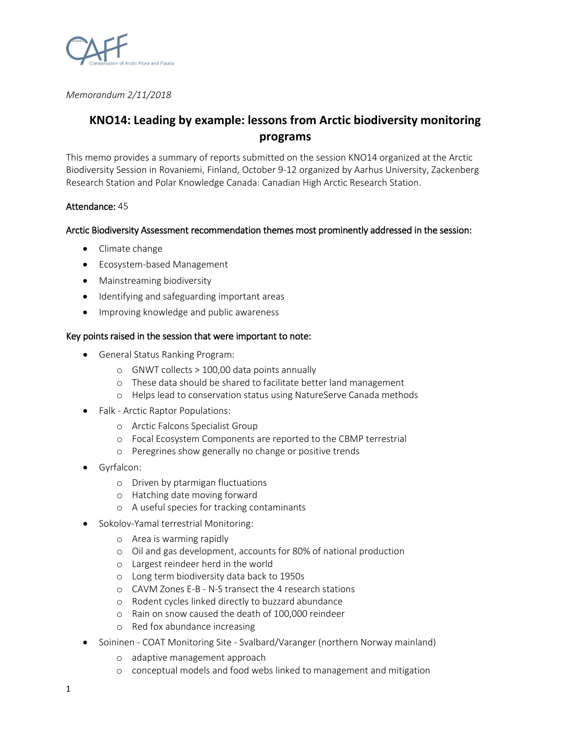

*Memorandum 2/11/2018*

# **KNO14: Leading by example: lessons from Arctic biodiversity monitoring programs**

This memo provides a summary of reports submitted on the session KNO14 organized at the Arctic Biodiversity Session in Rovaniemi, Finland, October 9-12 organized by Aarhus University, Zackenberg Research Station and Polar Knowledge Canada: Canadian High Arctic Research Station.

## Attendance: 45

## Arctic Biodiversity Assessment recommendation themes most prominently addressed in the session:

- Climate change
- Ecosystem-based Management
- Mainstreaming biodiversity
- Identifying and safeguarding important areas
- Improving knowledge and public awareness

#### Key points raised in the session that were important to note:

- General Status Ranking Program:
	- o GNWT collects > 100,00 data points annually
	- o These data should be shared to facilitate better land management
	- o Helps lead to conservation status using NatureServe Canada methods
- Falk Arctic Raptor Populations:
	- o Arctic Falcons Specialist Group
	- o Focal Ecosystem Components are reported to the CBMP terrestrial
	- o Peregrines show generally no change or positive trends
- Gyrfalcon:
	- o Driven by ptarmigan fluctuations
	- o Hatching date moving forward
	- o A useful species for tracking contaminants
- Sokolov-Yamal terrestrial Monitoring:
	- o Area is warming rapidly
	- o Oil and gas development, accounts for 80% of national production
	- o Largest reindeer herd in the world
	- o Long term biodiversity data back to 1950s
	- o CAVM Zones E-B N-S transect the 4 research stations
	- o Rodent cycles linked directly to buzzard abundance
	- o Rain on snow caused the death of 100,000 reindeer
	- o Red fox abundance increasing
- Soininen COAT Monitoring Site Svalbard/Varanger (northern Norway mainland)
	- o adaptive management approach
	- o conceptual models and food webs linked to management and mitigation